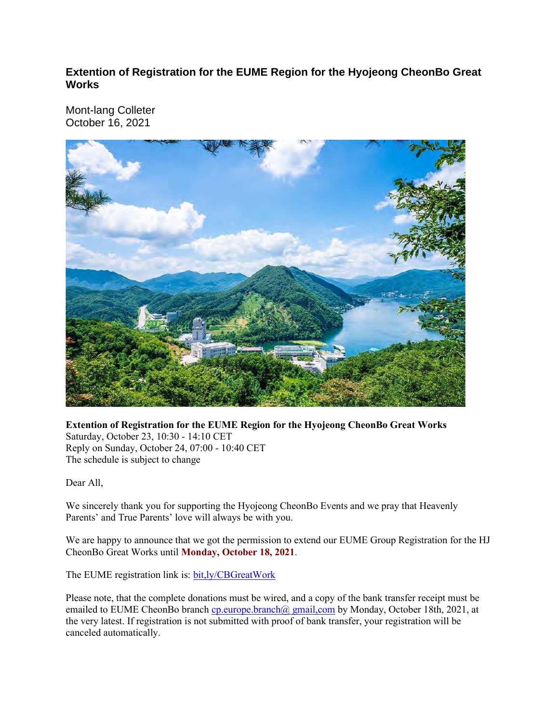**Extention of Registration for the EUME Region for the Hyojeong CheonBo Great Works** 

Mont-lang Colleter October 16, 2021



**Extention of Registration for the EUME Region for the Hyojeong CheonBo Great Works**  Saturday, October 23, 10:30 - 14:10 CET Reply on Sunday, October 24, 07:00 - 10:40 CET The schedule is subject to change

Dear All,

We sincerely thank you for supporting the Hyojeong CheonBo Events and we pray that Heavenly Parents' and True Parents' love will always be with you.

We are happy to announce that we got the permission to extend our EUME Group Registration for the HJ CheonBo Great Works until **Monday, October 18, 2021**.

The EUME registration link is: bit,ly/CBGreatWork

Please note, that the complete donations must be wired, and a copy of the bank transfer receipt must be emailed to EUME CheonBo branch cp.europe.branch@ gmail,com by Monday, October 18th, 2021, at the very latest. If registration is not submitted with proof of bank transfer, your registration will be canceled automatically.